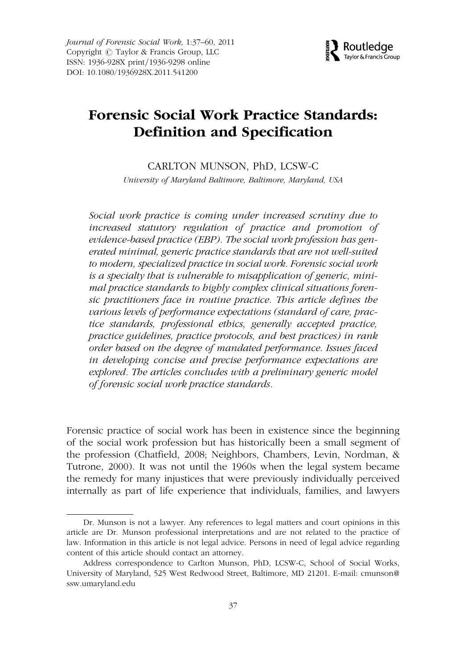

# Forensic Social Work Practice Standards: Definition and Specification

#### CARLTON MUNSON, PhD, LCSW-C

University of Maryland Baltimore, Baltimore, Maryland, USA

Social work practice is coming under increased scrutiny due to increased statutory regulation of practice and promotion of evidence-based practice (EBP). The social work profession has generated minimal, generic practice standards that are not well-suited to modern, specialized practice in social work. Forensic social work is a specialty that is vulnerable to misapplication of generic, minimal practice standards to highly complex clinical situations forensic practitioners face in routine practice. This article defines the various levels of performance expectations (standard of care, practice standards, professional ethics, generally accepted practice, practice guidelines, practice protocols, and best practices) in rank order based on the degree of mandated performance. Issues faced in developing concise and precise performance expectations are explored. The articles concludes with a preliminary generic model of forensic social work practice standards.

Forensic practice of social work has been in existence since the beginning of the social work profession but has historically been a small segment of the profession (Chatfield, 2008; Neighbors, Chambers, Levin, Nordman, & Tutrone, 2000). It was not until the 1960s when the legal system became the remedy for many injustices that were previously individually perceived internally as part of life experience that individuals, families, and lawyers

Dr. Munson is not a lawyer. Any references to legal matters and court opinions in this article are Dr. Munson professional interpretations and are not related to the practice of law. Information in this article is not legal advice. Persons in need of legal advice regarding content of this article should contact an attorney.

Address correspondence to Carlton Munson, PhD, LCSW-C, School of Social Works, University of Maryland, 525 West Redwood Street, Baltimore, MD 21201. E-mail: cmunson@ ssw.umaryland.edu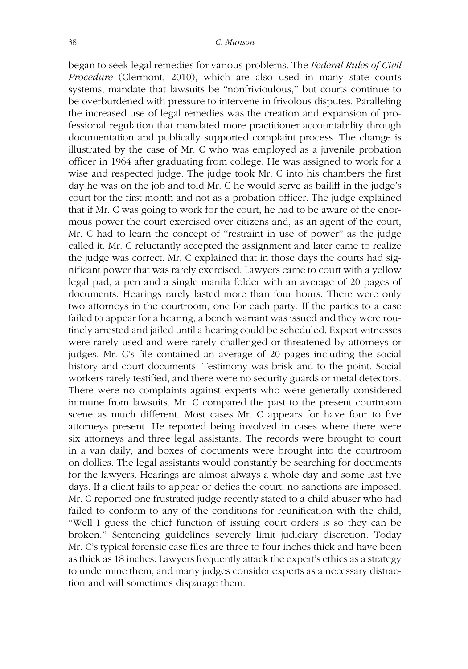began to seek legal remedies for various problems. The Federal Rules of Civil Procedure (Clermont, 2010), which are also used in many state courts systems, mandate that lawsuits be ''nonfrivioulous,'' but courts continue to be overburdened with pressure to intervene in frivolous disputes. Paralleling the increased use of legal remedies was the creation and expansion of professional regulation that mandated more practitioner accountability through documentation and publically supported complaint process. The change is illustrated by the case of Mr. C who was employed as a juvenile probation officer in 1964 after graduating from college. He was assigned to work for a wise and respected judge. The judge took Mr. C into his chambers the first day he was on the job and told Mr. C he would serve as bailiff in the judge's court for the first month and not as a probation officer. The judge explained that if Mr. C was going to work for the court, he had to be aware of the enormous power the court exercised over citizens and, as an agent of the court, Mr. C had to learn the concept of ''restraint in use of power'' as the judge called it. Mr. C reluctantly accepted the assignment and later came to realize the judge was correct. Mr. C explained that in those days the courts had significant power that was rarely exercised. Lawyers came to court with a yellow legal pad, a pen and a single manila folder with an average of 20 pages of documents. Hearings rarely lasted more than four hours. There were only two attorneys in the courtroom, one for each party. If the parties to a case failed to appear for a hearing, a bench warrant was issued and they were routinely arrested and jailed until a hearing could be scheduled. Expert witnesses were rarely used and were rarely challenged or threatened by attorneys or judges. Mr. C's file contained an average of 20 pages including the social history and court documents. Testimony was brisk and to the point. Social workers rarely testified, and there were no security guards or metal detectors. There were no complaints against experts who were generally considered immune from lawsuits. Mr. C compared the past to the present courtroom scene as much different. Most cases Mr. C appears for have four to five attorneys present. He reported being involved in cases where there were six attorneys and three legal assistants. The records were brought to court in a van daily, and boxes of documents were brought into the courtroom on dollies. The legal assistants would constantly be searching for documents for the lawyers. Hearings are almost always a whole day and some last five days. If a client fails to appear or defies the court, no sanctions are imposed. Mr. C reported one frustrated judge recently stated to a child abuser who had failed to conform to any of the conditions for reunification with the child, ''Well I guess the chief function of issuing court orders is so they can be broken.'' Sentencing guidelines severely limit judiciary discretion. Today Mr. C's typical forensic case files are three to four inches thick and have been as thick as 18 inches. Lawyers frequently attack the expert's ethics as a strategy to undermine them, and many judges consider experts as a necessary distraction and will sometimes disparage them.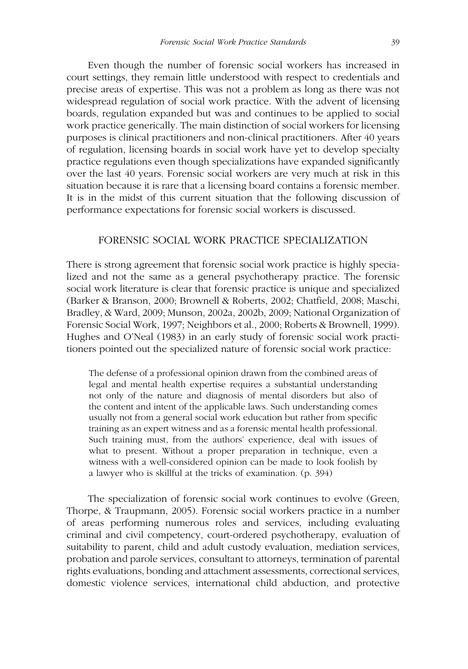Even though the number of forensic social workers has increased in court settings, they remain little understood with respect to credentials and precise areas of expertise. This was not a problem as long as there was not widespread regulation of social work practice. With the advent of licensing boards, regulation expanded but was and continues to be applied to social work practice generically. The main distinction of social workers for licensing purposes is clinical practitioners and non-clinical practitioners. After 40 years of regulation, licensing boards in social work have yet to develop specialty practice regulations even though specializations have expanded significantly over the last 40 years. Forensic social workers are very much at risk in this situation because it is rare that a licensing board contains a forensic member. It is in the midst of this current situation that the following discussion of performance expectations for forensic social workers is discussed.

#### FORENSIC SOCIAL WORK PRACTICE SPECIALIZATION

There is strong agreement that forensic social work practice is highly specialized and not the same as a general psychotherapy practice. The forensic social work literature is clear that forensic practice is unique and specialized (Barker & Branson, 2000; Brownell & Roberts, 2002; Chatfield, 2008; Maschi, Bradley, & Ward, 2009; Munson, 2002a, 2002b, 2009; National Organization of Forensic Social Work, 1997; Neighbors et al., 2000; Roberts & Brownell, 1999). Hughes and O'Neal (1983) in an early study of forensic social work practitioners pointed out the specialized nature of forensic social work practice:

The defense of a professional opinion drawn from the combined areas of legal and mental health expertise requires a substantial understanding not only of the nature and diagnosis of mental disorders but also of the content and intent of the applicable laws. Such understanding comes usually not from a general social work education but rather from specific training as an expert witness and as a forensic mental health professional. Such training must, from the authors' experience, deal with issues of what to present. Without a proper preparation in technique, even a witness with a well-considered opinion can be made to look foolish by a lawyer who is skillful at the tricks of examination. (p. 394)

The specialization of forensic social work continues to evolve (Green, Thorpe, & Traupmann, 2005). Forensic social workers practice in a number of areas performing numerous roles and services, including evaluating criminal and civil competency, court-ordered psychotherapy, evaluation of suitability to parent, child and adult custody evaluation, mediation services, probation and parole services, consultant to attorneys, termination of parental rights evaluations, bonding and attachment assessments, correctional services, domestic violence services, international child abduction, and protective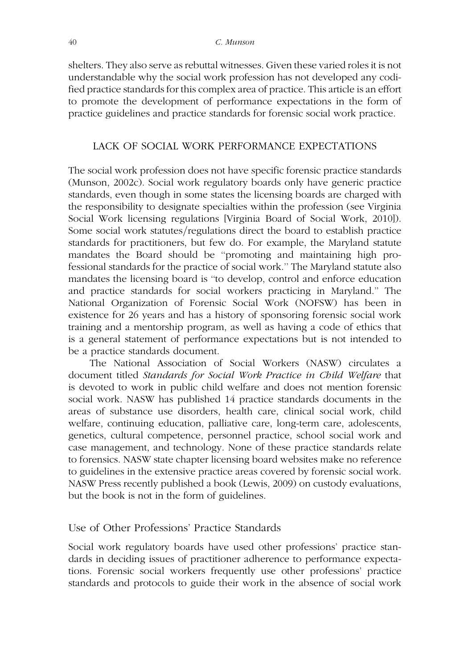shelters. They also serve as rebuttal witnesses. Given these varied roles it is not understandable why the social work profession has not developed any codified practice standards for this complex area of practice. This article is an effort to promote the development of performance expectations in the form of practice guidelines and practice standards for forensic social work practice.

#### LACK OF SOCIAL WORK PERFORMANCE EXPECTATIONS

The social work profession does not have specific forensic practice standards (Munson, 2002c). Social work regulatory boards only have generic practice standards, even though in some states the licensing boards are charged with the responsibility to designate specialties within the profession (see Virginia Social Work licensing regulations [Virginia Board of Social Work, 2010]). Some social work statutes/regulations direct the board to establish practice standards for practitioners, but few do. For example, the Maryland statute mandates the Board should be ''promoting and maintaining high professional standards for the practice of social work.'' The Maryland statute also mandates the licensing board is ''to develop, control and enforce education and practice standards for social workers practicing in Maryland.'' The National Organization of Forensic Social Work (NOFSW) has been in existence for 26 years and has a history of sponsoring forensic social work training and a mentorship program, as well as having a code of ethics that is a general statement of performance expectations but is not intended to be a practice standards document.

The National Association of Social Workers (NASW) circulates a document titled Standards for Social Work Practice in Child Welfare that is devoted to work in public child welfare and does not mention forensic social work. NASW has published 14 practice standards documents in the areas of substance use disorders, health care, clinical social work, child welfare, continuing education, palliative care, long-term care, adolescents, genetics, cultural competence, personnel practice, school social work and case management, and technology. None of these practice standards relate to forensics. NASW state chapter licensing board websites make no reference to guidelines in the extensive practice areas covered by forensic social work. NASW Press recently published a book (Lewis, 2009) on custody evaluations, but the book is not in the form of guidelines.

#### Use of Other Professions' Practice Standards

Social work regulatory boards have used other professions' practice standards in deciding issues of practitioner adherence to performance expectations. Forensic social workers frequently use other professions' practice standards and protocols to guide their work in the absence of social work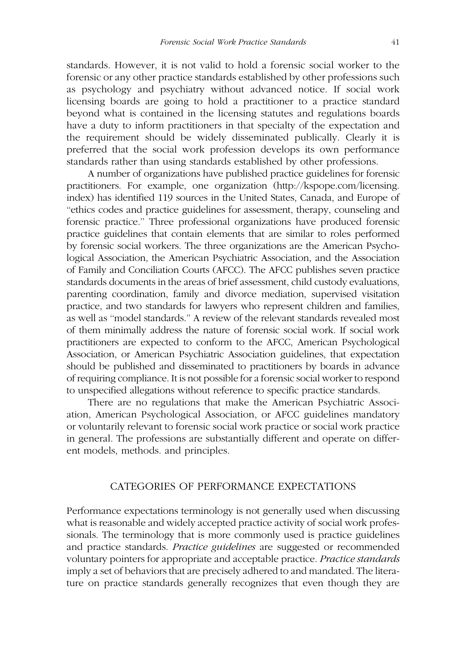standards. However, it is not valid to hold a forensic social worker to the forensic or any other practice standards established by other professions such as psychology and psychiatry without advanced notice. If social work licensing boards are going to hold a practitioner to a practice standard beyond what is contained in the licensing statutes and regulations boards have a duty to inform practitioners in that specialty of the expectation and the requirement should be widely disseminated publically. Clearly it is preferred that the social work profession develops its own performance standards rather than using standards established by other professions.

A number of organizations have published practice guidelines for forensic practitioners. For example, one organization (http://kspope.com/licensing. index) has identified 119 sources in the United States, Canada, and Europe of ''ethics codes and practice guidelines for assessment, therapy, counseling and forensic practice.'' Three professional organizations have produced forensic practice guidelines that contain elements that are similar to roles performed by forensic social workers. The three organizations are the American Psychological Association, the American Psychiatric Association, and the Association of Family and Conciliation Courts (AFCC). The AFCC publishes seven practice standards documents in the areas of brief assessment, child custody evaluations, parenting coordination, family and divorce mediation, supervised visitation practice, and two standards for lawyers who represent children and families, as well as ''model standards.'' A review of the relevant standards revealed most of them minimally address the nature of forensic social work. If social work practitioners are expected to conform to the AFCC, American Psychological Association, or American Psychiatric Association guidelines, that expectation should be published and disseminated to practitioners by boards in advance of requiring compliance. It is not possible for a forensic social worker to respond to unspecified allegations without reference to specific practice standards.

There are no regulations that make the American Psychiatric Association, American Psychological Association, or AFCC guidelines mandatory or voluntarily relevant to forensic social work practice or social work practice in general. The professions are substantially different and operate on different models, methods. and principles.

## CATEGORIES OF PERFORMANCE EXPECTATIONS

Performance expectations terminology is not generally used when discussing what is reasonable and widely accepted practice activity of social work professionals. The terminology that is more commonly used is practice guidelines and practice standards. Practice guidelines are suggested or recommended voluntary pointers for appropriate and acceptable practice. Practice standards imply a set of behaviors that are precisely adhered to and mandated. The literature on practice standards generally recognizes that even though they are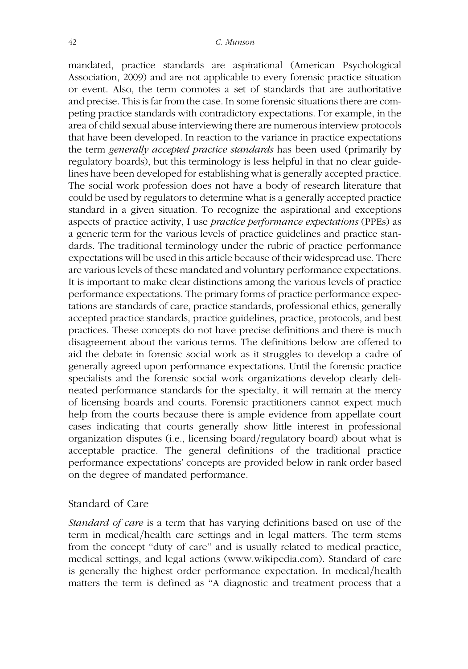mandated, practice standards are aspirational (American Psychological Association, 2009) and are not applicable to every forensic practice situation or event. Also, the term connotes a set of standards that are authoritative and precise. This is far from the case. In some forensic situations there are competing practice standards with contradictory expectations. For example, in the area of child sexual abuse interviewing there are numerous interview protocols that have been developed. In reaction to the variance in practice expectations the term generally accepted practice standards has been used (primarily by regulatory boards), but this terminology is less helpful in that no clear guidelines have been developed for establishing what is generally accepted practice. The social work profession does not have a body of research literature that could be used by regulators to determine what is a generally accepted practice standard in a given situation. To recognize the aspirational and exceptions aspects of practice activity, I use practice performance expectations (PPEs) as a generic term for the various levels of practice guidelines and practice standards. The traditional terminology under the rubric of practice performance expectations will be used in this article because of their widespread use. There are various levels of these mandated and voluntary performance expectations. It is important to make clear distinctions among the various levels of practice performance expectations. The primary forms of practice performance expectations are standards of care, practice standards, professional ethics, generally accepted practice standards, practice guidelines, practice, protocols, and best practices. These concepts do not have precise definitions and there is much disagreement about the various terms. The definitions below are offered to aid the debate in forensic social work as it struggles to develop a cadre of generally agreed upon performance expectations. Until the forensic practice specialists and the forensic social work organizations develop clearly delineated performance standards for the specialty, it will remain at the mercy of licensing boards and courts. Forensic practitioners cannot expect much help from the courts because there is ample evidence from appellate court cases indicating that courts generally show little interest in professional organization disputes (i.e., licensing board/regulatory board) about what is acceptable practice. The general definitions of the traditional practice performance expectations' concepts are provided below in rank order based on the degree of mandated performance.

## Standard of Care

Standard of care is a term that has varying definitions based on use of the term in medical/health care settings and in legal matters. The term stems from the concept ''duty of care'' and is usually related to medical practice, medical settings, and legal actions (www.wikipedia.com). Standard of care is generally the highest order performance expectation. In medical/health matters the term is defined as ''A diagnostic and treatment process that a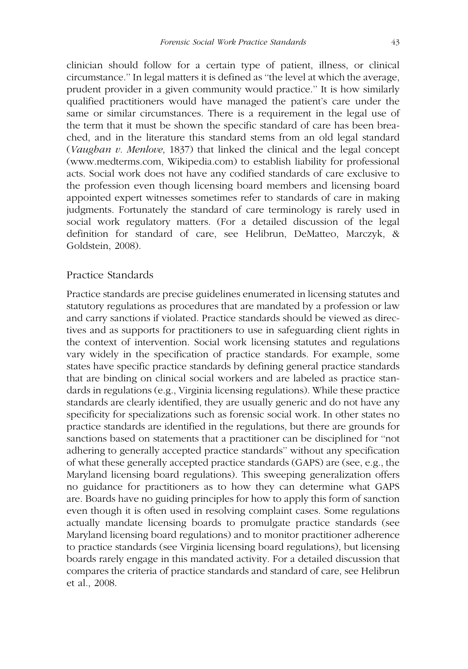clinician should follow for a certain type of patient, illness, or clinical circumstance.'' In legal matters it is defined as ''the level at which the average, prudent provider in a given community would practice.'' It is how similarly qualified practitioners would have managed the patient's care under the same or similar circumstances. There is a requirement in the legal use of the term that it must be shown the specific standard of care has been breached, and in the literature this standard stems from an old legal standard (Vaughan v. Menlove, 1837) that linked the clinical and the legal concept (www.medterms.com, Wikipedia.com) to establish liability for professional acts. Social work does not have any codified standards of care exclusive to the profession even though licensing board members and licensing board appointed expert witnesses sometimes refer to standards of care in making judgments. Fortunately the standard of care terminology is rarely used in social work regulatory matters. (For a detailed discussion of the legal definition for standard of care, see Helibrun, DeMatteo, Marczyk, & Goldstein, 2008).

## Practice Standards

Practice standards are precise guidelines enumerated in licensing statutes and statutory regulations as procedures that are mandated by a profession or law and carry sanctions if violated. Practice standards should be viewed as directives and as supports for practitioners to use in safeguarding client rights in the context of intervention. Social work licensing statutes and regulations vary widely in the specification of practice standards. For example, some states have specific practice standards by defining general practice standards that are binding on clinical social workers and are labeled as practice standards in regulations (e.g., Virginia licensing regulations). While these practice standards are clearly identified, they are usually generic and do not have any specificity for specializations such as forensic social work. In other states no practice standards are identified in the regulations, but there are grounds for sanctions based on statements that a practitioner can be disciplined for ''not adhering to generally accepted practice standards'' without any specification of what these generally accepted practice standards (GAPS) are (see, e.g., the Maryland licensing board regulations). This sweeping generalization offers no guidance for practitioners as to how they can determine what GAPS are. Boards have no guiding principles for how to apply this form of sanction even though it is often used in resolving complaint cases. Some regulations actually mandate licensing boards to promulgate practice standards (see Maryland licensing board regulations) and to monitor practitioner adherence to practice standards (see Virginia licensing board regulations), but licensing boards rarely engage in this mandated activity. For a detailed discussion that compares the criteria of practice standards and standard of care, see Helibrun et al., 2008.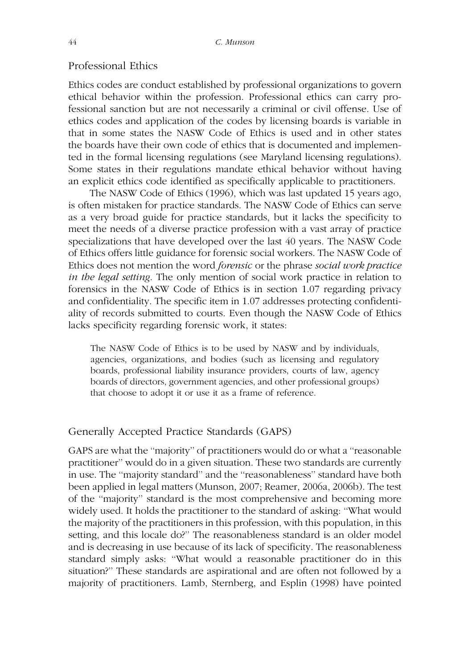#### Professional Ethics

Ethics codes are conduct established by professional organizations to govern ethical behavior within the profession. Professional ethics can carry professional sanction but are not necessarily a criminal or civil offense. Use of ethics codes and application of the codes by licensing boards is variable in that in some states the NASW Code of Ethics is used and in other states the boards have their own code of ethics that is documented and implemented in the formal licensing regulations (see Maryland licensing regulations). Some states in their regulations mandate ethical behavior without having an explicit ethics code identified as specifically applicable to practitioners.

The NASW Code of Ethics (1996), which was last updated 15 years ago, is often mistaken for practice standards. The NASW Code of Ethics can serve as a very broad guide for practice standards, but it lacks the specificity to meet the needs of a diverse practice profession with a vast array of practice specializations that have developed over the last 40 years. The NASW Code of Ethics offers little guidance for forensic social workers. The NASW Code of Ethics does not mention the word *forensic* or the phrase social work practice in the legal setting. The only mention of social work practice in relation to forensics in the NASW Code of Ethics is in section 1.07 regarding privacy and confidentiality. The specific item in 1.07 addresses protecting confidentiality of records submitted to courts. Even though the NASW Code of Ethics lacks specificity regarding forensic work, it states:

The NASW Code of Ethics is to be used by NASW and by individuals, agencies, organizations, and bodies (such as licensing and regulatory boards, professional liability insurance providers, courts of law, agency boards of directors, government agencies, and other professional groups) that choose to adopt it or use it as a frame of reference.

#### Generally Accepted Practice Standards (GAPS)

GAPS are what the ''majority'' of practitioners would do or what a ''reasonable practitioner'' would do in a given situation. These two standards are currently in use. The ''majority standard'' and the ''reasonableness'' standard have both been applied in legal matters (Munson, 2007; Reamer, 2006a, 2006b). The test of the ''majority'' standard is the most comprehensive and becoming more widely used. It holds the practitioner to the standard of asking: ''What would the majority of the practitioners in this profession, with this population, in this setting, and this locale do?'' The reasonableness standard is an older model and is decreasing in use because of its lack of specificity. The reasonableness standard simply asks: ''What would a reasonable practitioner do in this situation?'' These standards are aspirational and are often not followed by a majority of practitioners. Lamb, Sternberg, and Esplin (1998) have pointed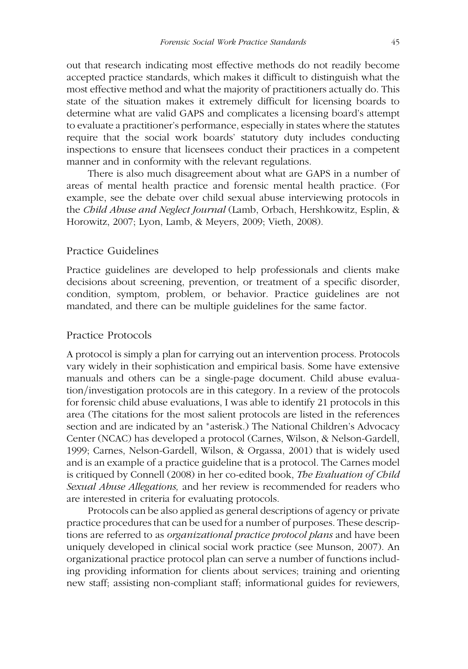out that research indicating most effective methods do not readily become accepted practice standards, which makes it difficult to distinguish what the most effective method and what the majority of practitioners actually do. This state of the situation makes it extremely difficult for licensing boards to determine what are valid GAPS and complicates a licensing board's attempt to evaluate a practitioner's performance, especially in states where the statutes require that the social work boards' statutory duty includes conducting inspections to ensure that licensees conduct their practices in a competent manner and in conformity with the relevant regulations.

There is also much disagreement about what are GAPS in a number of areas of mental health practice and forensic mental health practice. (For example, see the debate over child sexual abuse interviewing protocols in the Child Abuse and Neglect Journal (Lamb, Orbach, Hershkowitz, Esplin, & Horowitz, 2007; Lyon, Lamb, & Meyers, 2009; Vieth, 2008).

#### Practice Guidelines

Practice guidelines are developed to help professionals and clients make decisions about screening, prevention, or treatment of a specific disorder, condition, symptom, problem, or behavior. Practice guidelines are not mandated, and there can be multiple guidelines for the same factor.

#### Practice Protocols

A protocol is simply a plan for carrying out an intervention process. Protocols vary widely in their sophistication and empirical basis. Some have extensive manuals and others can be a single-page document. Child abuse evaluation/investigation protocols are in this category. In a review of the protocols for forensic child abuse evaluations, I was able to identify 21 protocols in this area (The citations for the most salient protocols are listed in the references section and are indicated by an \*asterisk.) The National Children's Advocacy Center (NCAC) has developed a protocol (Carnes, Wilson, & Nelson-Gardell, 1999; Carnes, Nelson-Gardell, Wilson, & Orgassa, 2001) that is widely used and is an example of a practice guideline that is a protocol. The Carnes model is critiqued by Connell (2008) in her co-edited book, The Evaluation of Child Sexual Abuse Allegations, and her review is recommended for readers who are interested in criteria for evaluating protocols.

Protocols can be also applied as general descriptions of agency or private practice procedures that can be used for a number of purposes. These descriptions are referred to as organizational practice protocol plans and have been uniquely developed in clinical social work practice (see Munson, 2007). An organizational practice protocol plan can serve a number of functions including providing information for clients about services; training and orienting new staff; assisting non-compliant staff; informational guides for reviewers,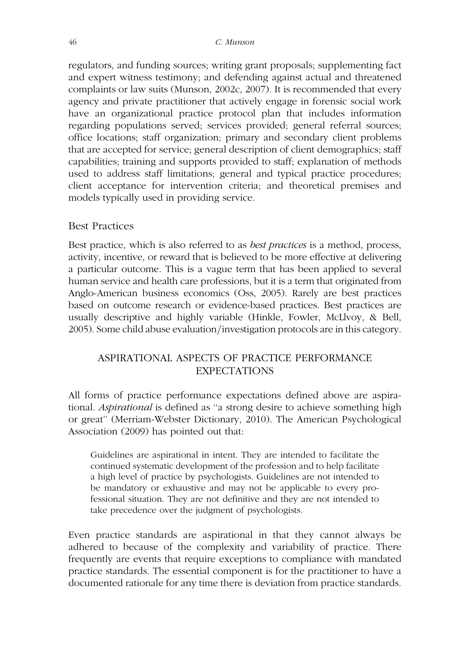regulators, and funding sources; writing grant proposals; supplementing fact and expert witness testimony; and defending against actual and threatened complaints or law suits (Munson, 2002c, 2007). It is recommended that every agency and private practitioner that actively engage in forensic social work have an organizational practice protocol plan that includes information regarding populations served; services provided; general referral sources; office locations; staff organization; primary and secondary client problems that are accepted for service; general description of client demographics; staff capabilities; training and supports provided to staff; explanation of methods used to address staff limitations; general and typical practice procedures; client acceptance for intervention criteria; and theoretical premises and models typically used in providing service.

#### Best Practices

Best practice, which is also referred to as *best practices* is a method, process, activity, incentive, or reward that is believed to be more effective at delivering a particular outcome. This is a vague term that has been applied to several human service and health care professions, but it is a term that originated from Anglo-American business economics (Oss, 2005). Rarely are best practices based on outcome research or evidence-based practices. Best practices are usually descriptive and highly variable (Hinkle, Fowler, McLlvoy, & Bell, 2005). Some child abuse evaluation/investigation protocols are in this category.

# ASPIRATIONAL ASPECTS OF PRACTICE PERFORMANCE EXPECTATIONS

All forms of practice performance expectations defined above are aspirational. Aspirational is defined as "a strong desire to achieve something high or great'' (Merriam-Webster Dictionary, 2010). The American Psychological Association (2009) has pointed out that:

Guidelines are aspirational in intent. They are intended to facilitate the continued systematic development of the profession and to help facilitate a high level of practice by psychologists. Guidelines are not intended to be mandatory or exhaustive and may not be applicable to every professional situation. They are not definitive and they are not intended to take precedence over the judgment of psychologists.

Even practice standards are aspirational in that they cannot always be adhered to because of the complexity and variability of practice. There frequently are events that require exceptions to compliance with mandated practice standards. The essential component is for the practitioner to have a documented rationale for any time there is deviation from practice standards.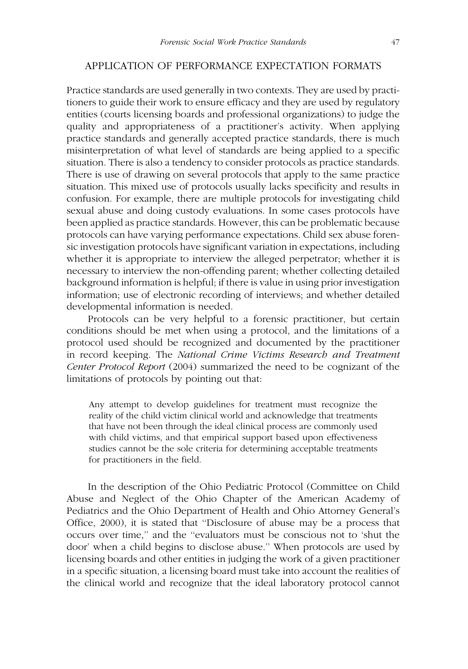#### APPLICATION OF PERFORMANCE EXPECTATION FORMATS

Practice standards are used generally in two contexts. They are used by practitioners to guide their work to ensure efficacy and they are used by regulatory entities (courts licensing boards and professional organizations) to judge the quality and appropriateness of a practitioner's activity. When applying practice standards and generally accepted practice standards, there is much misinterpretation of what level of standards are being applied to a specific situation. There is also a tendency to consider protocols as practice standards. There is use of drawing on several protocols that apply to the same practice situation. This mixed use of protocols usually lacks specificity and results in confusion. For example, there are multiple protocols for investigating child sexual abuse and doing custody evaluations. In some cases protocols have been applied as practice standards. However, this can be problematic because protocols can have varying performance expectations. Child sex abuse forensic investigation protocols have significant variation in expectations, including whether it is appropriate to interview the alleged perpetrator; whether it is necessary to interview the non-offending parent; whether collecting detailed background information is helpful; if there is value in using prior investigation information; use of electronic recording of interviews; and whether detailed developmental information is needed.

Protocols can be very helpful to a forensic practitioner, but certain conditions should be met when using a protocol, and the limitations of a protocol used should be recognized and documented by the practitioner in record keeping. The National Crime Victims Research and Treatment Center Protocol Report (2004) summarized the need to be cognizant of the limitations of protocols by pointing out that:

Any attempt to develop guidelines for treatment must recognize the reality of the child victim clinical world and acknowledge that treatments that have not been through the ideal clinical process are commonly used with child victims, and that empirical support based upon effectiveness studies cannot be the sole criteria for determining acceptable treatments for practitioners in the field.

In the description of the Ohio Pediatric Protocol (Committee on Child Abuse and Neglect of the Ohio Chapter of the American Academy of Pediatrics and the Ohio Department of Health and Ohio Attorney General's Office, 2000), it is stated that ''Disclosure of abuse may be a process that occurs over time,'' and the ''evaluators must be conscious not to 'shut the door' when a child begins to disclose abuse.'' When protocols are used by licensing boards and other entities in judging the work of a given practitioner in a specific situation, a licensing board must take into account the realities of the clinical world and recognize that the ideal laboratory protocol cannot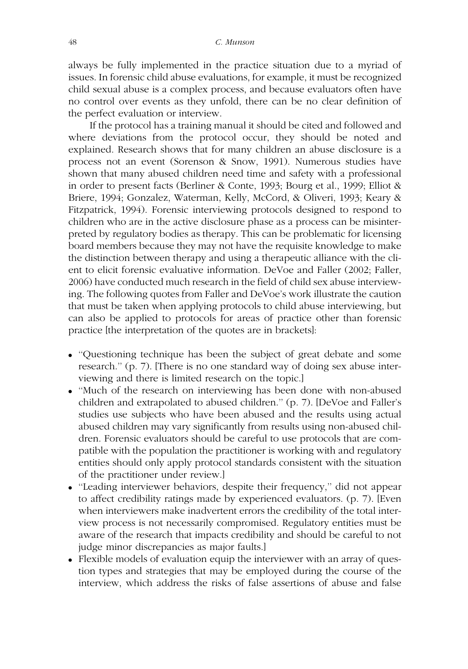always be fully implemented in the practice situation due to a myriad of issues. In forensic child abuse evaluations, for example, it must be recognized child sexual abuse is a complex process, and because evaluators often have no control over events as they unfold, there can be no clear definition of the perfect evaluation or interview.

If the protocol has a training manual it should be cited and followed and where deviations from the protocol occur, they should be noted and explained. Research shows that for many children an abuse disclosure is a process not an event (Sorenson & Snow, 1991). Numerous studies have shown that many abused children need time and safety with a professional in order to present facts (Berliner & Conte, 1993; Bourg et al., 1999; Elliot & Briere, 1994; Gonzalez, Waterman, Kelly, McCord, & Oliveri, 1993; Keary & Fitzpatrick, 1994). Forensic interviewing protocols designed to respond to children who are in the active disclosure phase as a process can be misinterpreted by regulatory bodies as therapy. This can be problematic for licensing board members because they may not have the requisite knowledge to make the distinction between therapy and using a therapeutic alliance with the client to elicit forensic evaluative information. DeVoe and Faller (2002; Faller, 2006) have conducted much research in the field of child sex abuse interviewing. The following quotes from Faller and DeVoe's work illustrate the caution that must be taken when applying protocols to child abuse interviewing, but can also be applied to protocols for areas of practice other than forensic practice [the interpretation of the quotes are in brackets]:

- . ''Questioning technique has been the subject of great debate and some research.'' (p. 7). [There is no one standard way of doing sex abuse interviewing and there is limited research on the topic.]
- . ''Much of the research on interviewing has been done with non-abused children and extrapolated to abused children.'' (p. 7). [DeVoe and Faller's studies use subjects who have been abused and the results using actual abused children may vary significantly from results using non-abused children. Forensic evaluators should be careful to use protocols that are compatible with the population the practitioner is working with and regulatory entities should only apply protocol standards consistent with the situation of the practitioner under review.]
- . ''Leading interviewer behaviors, despite their frequency,'' did not appear to affect credibility ratings made by experienced evaluators. (p. 7). [Even when interviewers make inadvertent errors the credibility of the total interview process is not necessarily compromised. Regulatory entities must be aware of the research that impacts credibility and should be careful to not judge minor discrepancies as major faults.]
- . Flexible models of evaluation equip the interviewer with an array of question types and strategies that may be employed during the course of the interview, which address the risks of false assertions of abuse and false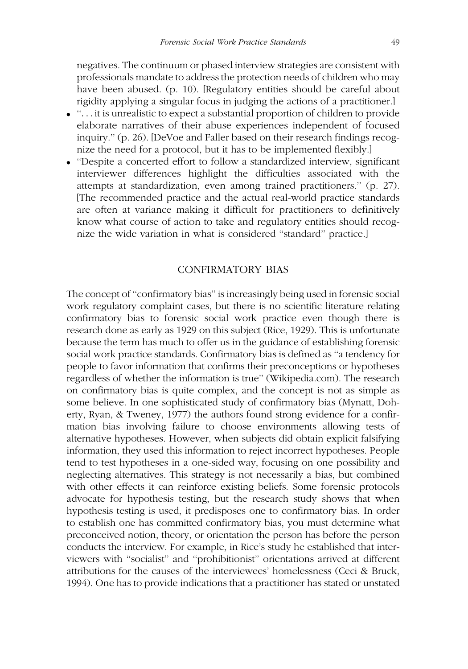negatives. The continuum or phased interview strategies are consistent with professionals mandate to address the protection needs of children who may have been abused. (p. 10). [Regulatory entities should be careful about rigidity applying a singular focus in judging the actions of a practitioner.]

- . ''... it is unrealistic to expect a substantial proportion of children to provide elaborate narratives of their abuse experiences independent of focused inquiry.'' (p. 26). [DeVoe and Faller based on their research findings recognize the need for a protocol, but it has to be implemented flexibly.]
- . ''Despite a concerted effort to follow a standardized interview, significant interviewer differences highlight the difficulties associated with the attempts at standardization, even among trained practitioners.'' (p. 27). [The recommended practice and the actual real-world practice standards are often at variance making it difficult for practitioners to definitively know what course of action to take and regulatory entities should recognize the wide variation in what is considered ''standard'' practice.]

#### CONFIRMATORY BIAS

The concept of ''confirmatory bias'' is increasingly being used in forensic social work regulatory complaint cases, but there is no scientific literature relating confirmatory bias to forensic social work practice even though there is research done as early as 1929 on this subject (Rice, 1929). This is unfortunate because the term has much to offer us in the guidance of establishing forensic social work practice standards. Confirmatory bias is defined as ''a tendency for people to favor information that confirms their preconceptions or hypotheses regardless of whether the information is true'' (Wikipedia.com). The research on confirmatory bias is quite complex, and the concept is not as simple as some believe. In one sophisticated study of confirmatory bias (Mynatt, Doherty, Ryan, & Tweney, 1977) the authors found strong evidence for a confirmation bias involving failure to choose environments allowing tests of alternative hypotheses. However, when subjects did obtain explicit falsifying information, they used this information to reject incorrect hypotheses. People tend to test hypotheses in a one-sided way, focusing on one possibility and neglecting alternatives. This strategy is not necessarily a bias, but combined with other effects it can reinforce existing beliefs. Some forensic protocols advocate for hypothesis testing, but the research study shows that when hypothesis testing is used, it predisposes one to confirmatory bias. In order to establish one has committed confirmatory bias, you must determine what preconceived notion, theory, or orientation the person has before the person conducts the interview. For example, in Rice's study he established that interviewers with ''socialist'' and ''prohibitionist'' orientations arrived at different attributions for the causes of the interviewees' homelessness (Ceci & Bruck, 1994). One has to provide indications that a practitioner has stated or unstated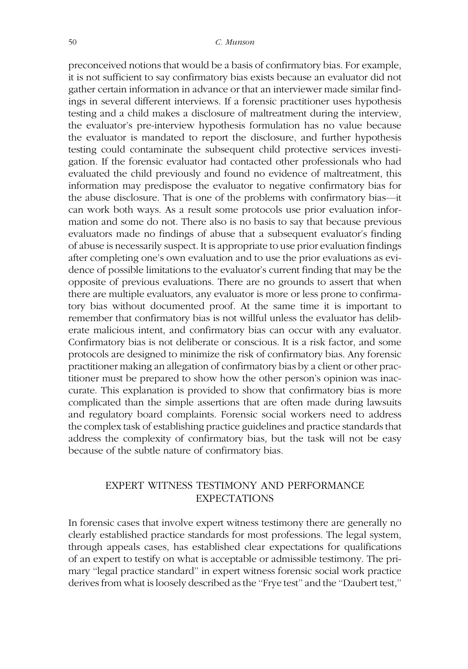preconceived notions that would be a basis of confirmatory bias. For example, it is not sufficient to say confirmatory bias exists because an evaluator did not gather certain information in advance or that an interviewer made similar findings in several different interviews. If a forensic practitioner uses hypothesis testing and a child makes a disclosure of maltreatment during the interview, the evaluator's pre-interview hypothesis formulation has no value because the evaluator is mandated to report the disclosure, and further hypothesis testing could contaminate the subsequent child protective services investigation. If the forensic evaluator had contacted other professionals who had evaluated the child previously and found no evidence of maltreatment, this information may predispose the evaluator to negative confirmatory bias for the abuse disclosure. That is one of the problems with confirmatory bias—it can work both ways. As a result some protocols use prior evaluation information and some do not. There also is no basis to say that because previous evaluators made no findings of abuse that a subsequent evaluator's finding of abuse is necessarily suspect. It is appropriate to use prior evaluation findings after completing one's own evaluation and to use the prior evaluations as evidence of possible limitations to the evaluator's current finding that may be the opposite of previous evaluations. There are no grounds to assert that when there are multiple evaluators, any evaluator is more or less prone to confirmatory bias without documented proof. At the same time it is important to remember that confirmatory bias is not willful unless the evaluator has deliberate malicious intent, and confirmatory bias can occur with any evaluator. Confirmatory bias is not deliberate or conscious. It is a risk factor, and some protocols are designed to minimize the risk of confirmatory bias. Any forensic practitioner making an allegation of confirmatory bias by a client or other practitioner must be prepared to show how the other person's opinion was inaccurate. This explanation is provided to show that confirmatory bias is more complicated than the simple assertions that are often made during lawsuits and regulatory board complaints. Forensic social workers need to address the complex task of establishing practice guidelines and practice standards that address the complexity of confirmatory bias, but the task will not be easy because of the subtle nature of confirmatory bias.

## EXPERT WITNESS TESTIMONY AND PERFORMANCE EXPECTATIONS

In forensic cases that involve expert witness testimony there are generally no clearly established practice standards for most professions. The legal system, through appeals cases, has established clear expectations for qualifications of an expert to testify on what is acceptable or admissible testimony. The primary ''legal practice standard'' in expert witness forensic social work practice derives from what is loosely described as the ''Frye test'' and the ''Daubert test,''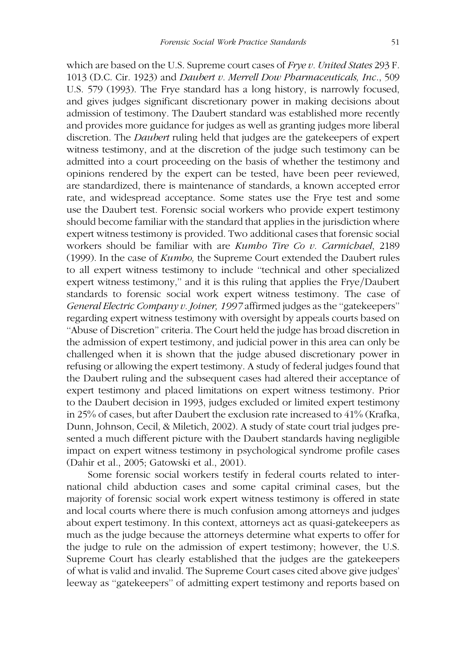which are based on the U.S. Supreme court cases of Frye v. United States 293 F. 1013 (D.C. Cir. 1923) and Daubert v. Merrell Dow Pharmaceuticals, Inc., 509 U.S. 579 (1993). The Frye standard has a long history, is narrowly focused, and gives judges significant discretionary power in making decisions about admission of testimony. The Daubert standard was established more recently and provides more guidance for judges as well as granting judges more liberal discretion. The *Daubert* ruling held that judges are the gatekeepers of expert witness testimony, and at the discretion of the judge such testimony can be admitted into a court proceeding on the basis of whether the testimony and opinions rendered by the expert can be tested, have been peer reviewed, are standardized, there is maintenance of standards, a known accepted error rate, and widespread acceptance. Some states use the Frye test and some use the Daubert test. Forensic social workers who provide expert testimony should become familiar with the standard that applies in the jurisdiction where expert witness testimony is provided. Two additional cases that forensic social workers should be familiar with are Kumho Tire Co v. Carmichael, 2189 (1999). In the case of Kumbo, the Supreme Court extended the Daubert rules to all expert witness testimony to include ''technical and other specialized expert witness testimony," and it is this ruling that applies the  $Frye/Daubert$ standards to forensic social work expert witness testimony. The case of General Electric Company v. Joiner, 1997 affirmed judges as the "gatekeepers" regarding expert witness testimony with oversight by appeals courts based on ''Abuse of Discretion'' criteria. The Court held the judge has broad discretion in the admission of expert testimony, and judicial power in this area can only be challenged when it is shown that the judge abused discretionary power in refusing or allowing the expert testimony. A study of federal judges found that the Daubert ruling and the subsequent cases had altered their acceptance of expert testimony and placed limitations on expert witness testimony. Prior to the Daubert decision in 1993, judges excluded or limited expert testimony in 25% of cases, but after Daubert the exclusion rate increased to 41% (Krafka, Dunn, Johnson, Cecil, & Miletich, 2002). A study of state court trial judges presented a much different picture with the Daubert standards having negligible impact on expert witness testimony in psychological syndrome profile cases (Dahir et al., 2005; Gatowski et al., 2001).

Some forensic social workers testify in federal courts related to international child abduction cases and some capital criminal cases, but the majority of forensic social work expert witness testimony is offered in state and local courts where there is much confusion among attorneys and judges about expert testimony. In this context, attorneys act as quasi-gatekeepers as much as the judge because the attorneys determine what experts to offer for the judge to rule on the admission of expert testimony; however, the U.S. Supreme Court has clearly established that the judges are the gatekeepers of what is valid and invalid. The Supreme Court cases cited above give judges' leeway as ''gatekeepers'' of admitting expert testimony and reports based on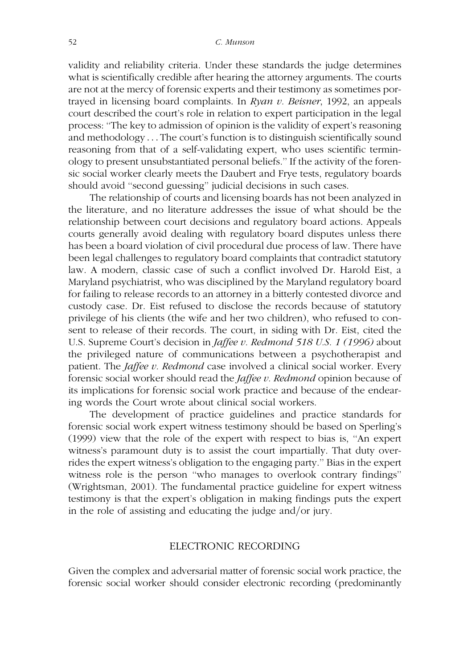validity and reliability criteria. Under these standards the judge determines what is scientifically credible after hearing the attorney arguments. The courts are not at the mercy of forensic experts and their testimony as sometimes portrayed in licensing board complaints. In  $Ryan$  v. Beisner, 1992, an appeals court described the court's role in relation to expert participation in the legal process: ''The key to admission of opinion is the validity of expert's reasoning and methodology ... The court's function is to distinguish scientifically sound reasoning from that of a self-validating expert, who uses scientific terminology to present unsubstantiated personal beliefs.'' If the activity of the forensic social worker clearly meets the Daubert and Frye tests, regulatory boards should avoid ''second guessing'' judicial decisions in such cases.

The relationship of courts and licensing boards has not been analyzed in the literature, and no literature addresses the issue of what should be the relationship between court decisions and regulatory board actions. Appeals courts generally avoid dealing with regulatory board disputes unless there has been a board violation of civil procedural due process of law. There have been legal challenges to regulatory board complaints that contradict statutory law. A modern, classic case of such a conflict involved Dr. Harold Eist, a Maryland psychiatrist, who was disciplined by the Maryland regulatory board for failing to release records to an attorney in a bitterly contested divorce and custody case. Dr. Eist refused to disclose the records because of statutory privilege of his clients (the wife and her two children), who refused to consent to release of their records. The court, in siding with Dr. Eist, cited the U.S. Supreme Court's decision in Jaffee v. Redmond 518 U.S. 1 (1996) about the privileged nature of communications between a psychotherapist and patient. The *Jaffee v. Redmond* case involved a clinical social worker. Every forensic social worker should read the *Jaffee v. Redmond* opinion because of its implications for forensic social work practice and because of the endearing words the Court wrote about clinical social workers.

The development of practice guidelines and practice standards for forensic social work expert witness testimony should be based on Sperling's (1999) view that the role of the expert with respect to bias is, ''An expert witness's paramount duty is to assist the court impartially. That duty overrides the expert witness's obligation to the engaging party.'' Bias in the expert witness role is the person ''who manages to overlook contrary findings'' (Wrightsman, 2001). The fundamental practice guideline for expert witness testimony is that the expert's obligation in making findings puts the expert in the role of assisting and educating the judge and/or jury.

#### ELECTRONIC RECORDING

Given the complex and adversarial matter of forensic social work practice, the forensic social worker should consider electronic recording (predominantly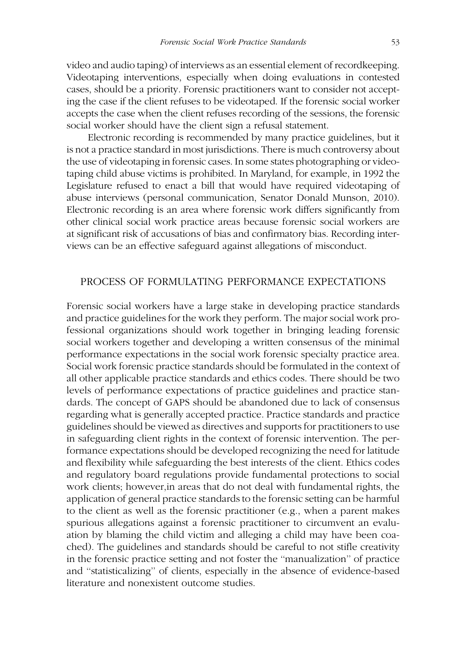video and audio taping) of interviews as an essential element of recordkeeping. Videotaping interventions, especially when doing evaluations in contested cases, should be a priority. Forensic practitioners want to consider not accepting the case if the client refuses to be videotaped. If the forensic social worker accepts the case when the client refuses recording of the sessions, the forensic social worker should have the client sign a refusal statement.

Electronic recording is recommended by many practice guidelines, but it is not a practice standard in most jurisdictions. There is much controversy about the use of videotaping in forensic cases. In some states photographing or videotaping child abuse victims is prohibited. In Maryland, for example, in 1992 the Legislature refused to enact a bill that would have required videotaping of abuse interviews (personal communication, Senator Donald Munson, 2010). Electronic recording is an area where forensic work differs significantly from other clinical social work practice areas because forensic social workers are at significant risk of accusations of bias and confirmatory bias. Recording interviews can be an effective safeguard against allegations of misconduct.

#### PROCESS OF FORMULATING PERFORMANCE EXPECTATIONS

Forensic social workers have a large stake in developing practice standards and practice guidelines for the work they perform. The major social work professional organizations should work together in bringing leading forensic social workers together and developing a written consensus of the minimal performance expectations in the social work forensic specialty practice area. Social work forensic practice standards should be formulated in the context of all other applicable practice standards and ethics codes. There should be two levels of performance expectations of practice guidelines and practice standards. The concept of GAPS should be abandoned due to lack of consensus regarding what is generally accepted practice. Practice standards and practice guidelines should be viewed as directives and supports for practitioners to use in safeguarding client rights in the context of forensic intervention. The performance expectations should be developed recognizing the need for latitude and flexibility while safeguarding the best interests of the client. Ethics codes and regulatory board regulations provide fundamental protections to social work clients; however,in areas that do not deal with fundamental rights, the application of general practice standards to the forensic setting can be harmful to the client as well as the forensic practitioner (e.g., when a parent makes spurious allegations against a forensic practitioner to circumvent an evaluation by blaming the child victim and alleging a child may have been coached). The guidelines and standards should be careful to not stifle creativity in the forensic practice setting and not foster the ''manualization'' of practice and ''statisticalizing'' of clients, especially in the absence of evidence-based literature and nonexistent outcome studies.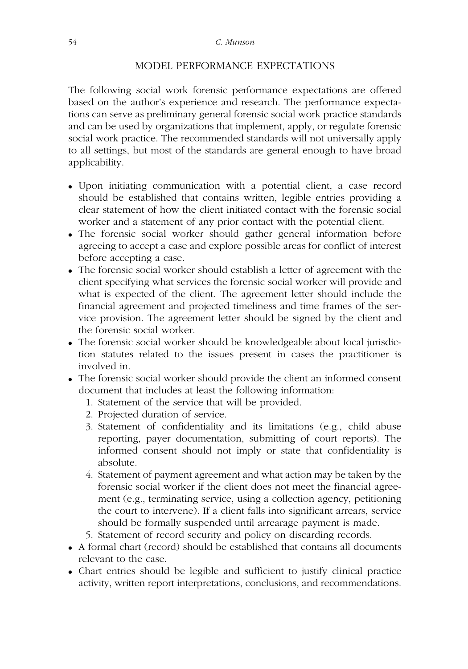#### MODEL PERFORMANCE EXPECTATIONS

The following social work forensic performance expectations are offered based on the author's experience and research. The performance expectations can serve as preliminary general forensic social work practice standards and can be used by organizations that implement, apply, or regulate forensic social work practice. The recommended standards will not universally apply to all settings, but most of the standards are general enough to have broad applicability.

- . Upon initiating communication with a potential client, a case record should be established that contains written, legible entries providing a clear statement of how the client initiated contact with the forensic social worker and a statement of any prior contact with the potential client.
- . The forensic social worker should gather general information before agreeing to accept a case and explore possible areas for conflict of interest before accepting a case.
- . The forensic social worker should establish a letter of agreement with the client specifying what services the forensic social worker will provide and what is expected of the client. The agreement letter should include the financial agreement and projected timeliness and time frames of the service provision. The agreement letter should be signed by the client and the forensic social worker.
- . The forensic social worker should be knowledgeable about local jurisdiction statutes related to the issues present in cases the practitioner is involved in.
- . The forensic social worker should provide the client an informed consent document that includes at least the following information:
	- 1. Statement of the service that will be provided.
	- 2. Projected duration of service.
	- 3. Statement of confidentiality and its limitations (e.g., child abuse reporting, payer documentation, submitting of court reports). The informed consent should not imply or state that confidentiality is absolute.
	- 4. Statement of payment agreement and what action may be taken by the forensic social worker if the client does not meet the financial agreement (e.g., terminating service, using a collection agency, petitioning the court to intervene). If a client falls into significant arrears, service should be formally suspended until arrearage payment is made.
	- 5. Statement of record security and policy on discarding records.
- . A formal chart (record) should be established that contains all documents relevant to the case.
- . Chart entries should be legible and sufficient to justify clinical practice activity, written report interpretations, conclusions, and recommendations.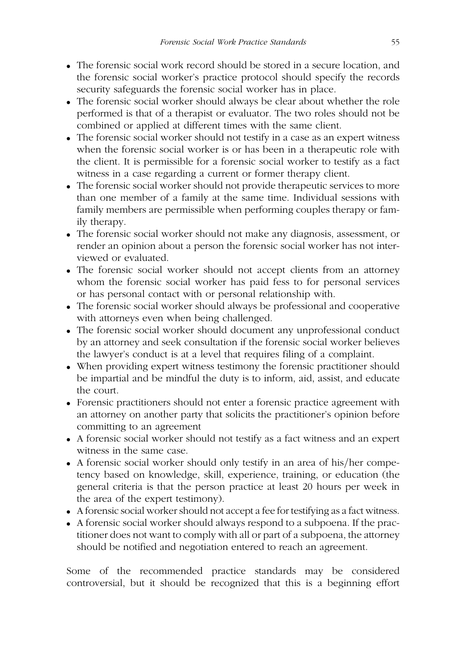- . The forensic social work record should be stored in a secure location, and the forensic social worker's practice protocol should specify the records security safeguards the forensic social worker has in place.
- . The forensic social worker should always be clear about whether the role performed is that of a therapist or evaluator. The two roles should not be combined or applied at different times with the same client.
- . The forensic social worker should not testify in a case as an expert witness when the forensic social worker is or has been in a therapeutic role with the client. It is permissible for a forensic social worker to testify as a fact witness in a case regarding a current or former therapy client.
- . The forensic social worker should not provide therapeutic services to more than one member of a family at the same time. Individual sessions with family members are permissible when performing couples therapy or family therapy.
- . The forensic social worker should not make any diagnosis, assessment, or render an opinion about a person the forensic social worker has not interviewed or evaluated.
- . The forensic social worker should not accept clients from an attorney whom the forensic social worker has paid fess to for personal services or has personal contact with or personal relationship with.
- . The forensic social worker should always be professional and cooperative with attorneys even when being challenged.
- . The forensic social worker should document any unprofessional conduct by an attorney and seek consultation if the forensic social worker believes the lawyer's conduct is at a level that requires filing of a complaint.
- . When providing expert witness testimony the forensic practitioner should be impartial and be mindful the duty is to inform, aid, assist, and educate the court.
- . Forensic practitioners should not enter a forensic practice agreement with an attorney on another party that solicits the practitioner's opinion before committing to an agreement
- . A forensic social worker should not testify as a fact witness and an expert witness in the same case.
- $\bullet$  A forensic social worker should only testify in an area of his/her competency based on knowledge, skill, experience, training, or education (the general criteria is that the person practice at least 20 hours per week in the area of the expert testimony).
- . A forensic social worker should not accept a fee for testifying as a fact witness.
- . A forensic social worker should always respond to a subpoena. If the practitioner does not want to comply with all or part of a subpoena, the attorney should be notified and negotiation entered to reach an agreement.

Some of the recommended practice standards may be considered controversial, but it should be recognized that this is a beginning effort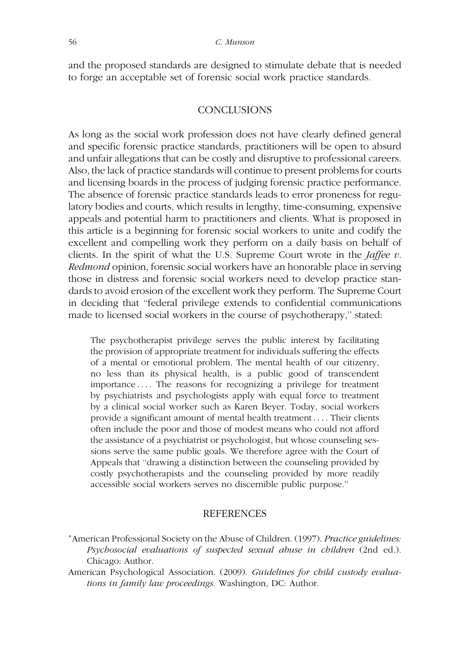and the proposed standards are designed to stimulate debate that is needed to forge an acceptable set of forensic social work practice standards.

## **CONCLUSIONS**

As long as the social work profession does not have clearly defined general and specific forensic practice standards, practitioners will be open to absurd and unfair allegations that can be costly and disruptive to professional careers. Also, the lack of practice standards will continue to present problems for courts and licensing boards in the process of judging forensic practice performance. The absence of forensic practice standards leads to error proneness for regulatory bodies and courts, which results in lengthy, time-consuming, expensive appeals and potential harm to practitioners and clients. What is proposed in this article is a beginning for forensic social workers to unite and codify the excellent and compelling work they perform on a daily basis on behalf of clients. In the spirit of what the U.S. Supreme Court wrote in the *Jaffee v*. Redmond opinion, forensic social workers have an honorable place in serving those in distress and forensic social workers need to develop practice standards to avoid erosion of the excellent work they perform. The Supreme Court in deciding that ''federal privilege extends to confidential communications made to licensed social workers in the course of psychotherapy,'' stated:

The psychotherapist privilege serves the public interest by facilitating the provision of appropriate treatment for individuals suffering the effects of a mental or emotional problem. The mental health of our citizenry, no less than its physical health, is a public good of transcendent importance ... . The reasons for recognizing a privilege for treatment by psychiatrists and psychologists apply with equal force to treatment by a clinical social worker such as Karen Beyer. Today, social workers provide a significant amount of mental health treatment ... . Their clients often include the poor and those of modest means who could not afford the assistance of a psychiatrist or psychologist, but whose counseling sessions serve the same public goals. We therefore agree with the Court of Appeals that ''drawing a distinction between the counseling provided by costly psychotherapists and the counseling provided by more readily accessible social workers serves no discernible public purpose.''

#### **REFERENCES**

<sup>\*</sup> American Professional Society on the Abuse of Children. (1997). Practice guidelines: Psychosocial evaluations of suspected sexual abuse in children (2nd ed.). Chicago: Author.

American Psychological Association. (2009). Guidelines for child custody evaluations in family law proceedings. Washington, DC: Author.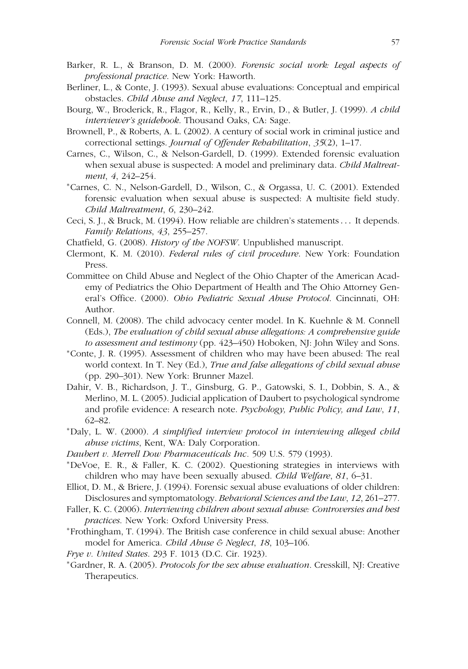- Barker, R. L., & Branson, D. M. (2000). Forensic social work: Legal aspects of professional practice. New York: Haworth.
- Berliner, L., & Conte, J. (1993). Sexual abuse evaluations: Conceptual and empirical obstacles. Child Abuse and Neglect, 17, 111–125.
- Bourg, W., Broderick, R., Flagor, R., Kelly, R., Ervin, D., & Butler, J. (1999). A child interviewer's guidebook. Thousand Oaks, CA: Sage.
- Brownell, P., & Roberts, A. L. (2002). A century of social work in criminal justice and correctional settings. Journal of Offender Rehabilitation, 35(2), 1–17.
- Carnes, C., Wilson, C., & Nelson-Gardell, D. (1999). Extended forensic evaluation when sexual abuse is suspected: A model and preliminary data. Child Maltreatment, 4, 242–254.
- Carnes, C. N., Nelson-Gardell, D., Wilson, C., & Orgassa, U. C. (2001). Extended forensic evaluation when sexual abuse is suspected: A multisite field study. Child Maltreatment, 6, 230–242.
- Ceci, S. J., & Bruck, M. (1994). How reliable are children's statements... It depends. Family Relations, 43, 255–257.
- Chatfield, G. (2008). History of the NOFSW. Unpublished manuscript.
- Clermont, K. M. (2010). Federal rules of civil procedure. New York: Foundation Press.
- Committee on Child Abuse and Neglect of the Ohio Chapter of the American Academy of Pediatrics the Ohio Department of Health and The Ohio Attorney General's Office. (2000). Ohio Pediatric Sexual Abuse Protocol. Cincinnati, OH: Author.
- Connell, M. (2008). The child advocacy center model. In K. Kuehnle & M. Connell (Eds.), The evaluation of child sexual abuse allegations: A comprehensive guide to assessment and testimony (pp. 423–450) Hoboken, NJ: John Wiley and Sons.
- Conte, J. R. (1995). Assessment of children who may have been abused: The real world context. In T. Ney (Ed.), True and false allegations of child sexual abuse (pp. 290–301). New York: Brunner Mazel.
- Dahir, V. B., Richardson, J. T., Ginsburg, G. P., Gatowski, S. I., Dobbin, S. A., & Merlino, M. L. (2005). Judicial application of Daubert to psychological syndrome and profile evidence: A research note. Psychology, Public Policy, and Law, 11, 62–82.
- Daly, L. W. (2000). A simplified interview protocol in interviewing alleged child abuse victims, Kent, WA: Daly Corporation.
- Daubert v. Merrell Dow Pharmaceuticals Inc. 509 U.S. 579 (1993).
- DeVoe, E. R., & Faller, K. C. (2002). Questioning strategies in interviews with children who may have been sexually abused. Child Welfare, 81, 6–31.
- Elliot, D. M., & Briere, J. (1994). Forensic sexual abuse evaluations of older children: Disclosures and symptomatology. Behavioral Sciences and the Law, 12, 261–277.
- Faller, K. C. (2006). Interviewing children about sexual abuse: Controversies and best practices. New York: Oxford University Press.
- Frothingham, T. (1994). The British case conference in child sexual abuse: Another model for America. Child Abuse & Neglect, 18, 103–106.
- Frye v. United States. 293 F. 1013 (D.C. Cir. 1923).
- \*Gardner, R. A. (2005). Protocols for the sex abuse evaluation. Cresskill, NJ: Creative Therapeutics.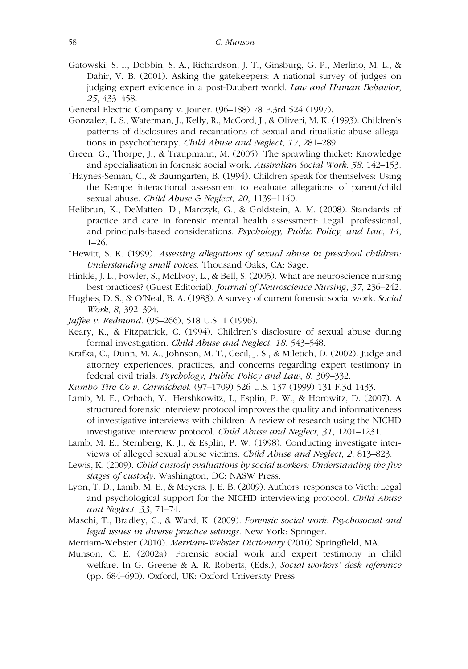- Gatowski, S. I., Dobbin, S. A., Richardson, J. T., Ginsburg, G. P., Merlino, M. L., & Dahir, V. B. (2001). Asking the gatekeepers: A national survey of judges on judging expert evidence in a post-Daubert world. Law and Human Behavior, 25, 433–458.
- General Electric Company v. Joiner. (96–188) 78 F.3rd 524 (1997).
- Gonzalez, L. S., Waterman, J., Kelly, R., McCord, J., & Oliveri, M. K. (1993). Children's patterns of disclosures and recantations of sexual and ritualistic abuse allegations in psychotherapy. Child Abuse and Neglect, 17, 281–289.
- Green, G., Thorpe, J., & Traupmann, M. (2005). The sprawling thicket: Knowledge and specialisation in forensic social work. Australian Social Work, 58, 142–153.
- Haynes-Seman, C., & Baumgarten, B. (1994). Children speak for themselves: Using the Kempe interactional assessment to evaluate allegations of parent/child sexual abuse. Child Abuse & Neglect, 20, 1139-1140.
- Helibrun, K., DeMatteo, D., Marczyk, G., & Goldstein, A. M. (2008). Standards of practice and care in forensic mental health assessment: Legal, professional, and principals-based considerations. Psychology, Public Policy, and Law, 14,  $1-26$ .
- Hewitt, S. K. (1999). Assessing allegations of sexual abuse in preschool children: Understanding small voices. Thousand Oaks, CA: Sage.
- Hinkle, J. L., Fowler, S., McLlvoy, L., & Bell, S. (2005). What are neuroscience nursing best practices? (Guest Editorial). Journal of Neuroscience Nursing, 37, 236–242.
- Hughes, D. S., & O'Neal, B. A. (1983). A survey of current forensic social work. Social Work, 8, 392–394.
- Jaffee v. Redmond. (95–266), 518 U.S. 1 (1996).
- Keary, K., & Fitzpatrick, C. (1994). Children's disclosure of sexual abuse during formal investigation. Child Abuse and Neglect, 18, 543–548.
- Krafka, C., Dunn, M. A., Johnson, M. T., Cecil, J. S., & Miletich, D. (2002). Judge and attorney experiences, practices, and concerns regarding expert testimony in federal civil trials. Psychology, Public Policy and Law, 8, 309–332.
- Kumho Tire Co v. Carmichael. (97–1709) 526 U.S. 137 (1999) 131 F.3d 1433.
- Lamb, M. E., Orbach, Y., Hershkowitz, I., Esplin, P. W., & Horowitz, D. (2007). A structured forensic interview protocol improves the quality and informativeness of investigative interviews with children: A review of research using the NICHD investigative interview protocol. Child Abuse and Neglect, 31, 1201–1231.
- Lamb, M. E., Sternberg, K. J., & Esplin, P. W. (1998). Conducting investigate interviews of alleged sexual abuse victims. Child Abuse and Neglect, 2, 813–823.
- Lewis, K. (2009). Child custody evaluations by social workers: Understanding the five stages of custody. Washington, DC: NASW Press.
- Lyon, T. D., Lamb, M. E., & Meyers, J. E. B. (2009). Authors' responses to Vieth: Legal and psychological support for the NICHD interviewing protocol. Child Abuse and Neglect, 33, 71–74.
- Maschi, T., Bradley, C., & Ward, K. (2009). Forensic social work: Psychosocial and legal issues in diverse practice settings. New York: Springer.
- Merriam-Webster (2010). Merriam-Webster Dictionary (2010) Springfield, MA.
- Munson, C. E. (2002a). Forensic social work and expert testimony in child welfare. In G. Greene & A. R. Roberts, (Eds.), Social workers' desk reference (pp. 684–690). Oxford, UK: Oxford University Press.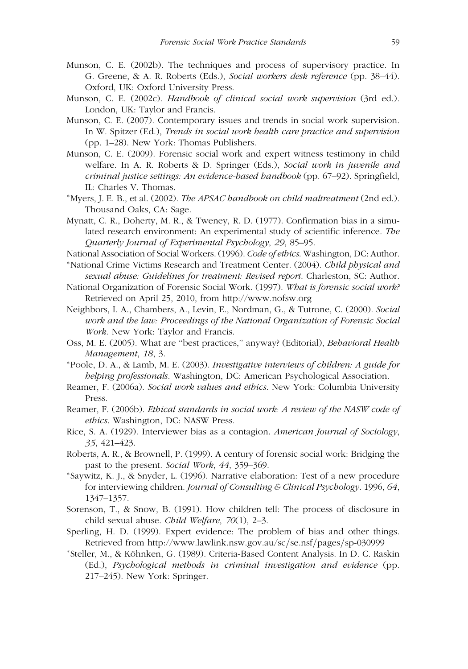- Munson, C. E. (2002b). The techniques and process of supervisory practice. In G. Greene, & A. R. Roberts (Eds.), Social workers desk reference (pp. 38–44). Oxford, UK: Oxford University Press.
- Munson, C. E. (2002c). Handbook of clinical social work supervision (3rd ed.). London, UK: Taylor and Francis.
- Munson, C. E. (2007). Contemporary issues and trends in social work supervision. In W. Spitzer (Ed.), Trends in social work health care practice and supervision (pp. 1–28). New York: Thomas Publishers.
- Munson, C. E. (2009). Forensic social work and expert witness testimony in child welfare. In A. R. Roberts & D. Springer (Eds.), Social work in juvenile and criminal justice settings: An evidence-based handbook (pp. 67–92). Springfield, IL: Charles V. Thomas.
- \*Myers, J. E. B., et al. (2002). The APSAC handbook on child maltreatment (2nd ed.). Thousand Oaks, CA: Sage.
- Mynatt, C. R., Doherty, M. R., & Tweney, R. D. (1977). Confirmation bias in a simulated research environment: An experimental study of scientific inference. The Quarterly Journal of Experimental Psychology, 29, 85–95.
- National Association of Social Workers. (1996). Code of ethics. Washington, DC: Author.
- \*National Crime Victims Research and Treatment Center. (2004). Child physical and sexual abuse: Guidelines for treatment: Revised report. Charleston, SC: Author. National Organization of Forensic Social Work. (1997). What is forensic social work?
- Retrieved on April 25, 2010, from http://www.nofsw.org
- Neighbors, I. A., Chambers, A., Levin, E., Nordman, G., & Tutrone, C. (2000). Social work and the law: Proceedings of the National Organization of Forensic Social Work. New York: Taylor and Francis.
- Oss, M. E. (2005). What are ''best practices,'' anyway? (Editorial), Behavioral Health Management, 18, 3.
- $*$ Poole, D. A., & Lamb, M. E. (2003). Investigative interviews of children: A guide for helping professionals. Washington, DC: American Psychological Association.
- Reamer, F. (2006a). Social work values and ethics. New York: Columbia University Press.
- Reamer, F. (2006b). Ethical standards in social work: A review of the NASW code of ethics. Washington, DC: NASW Press.
- Rice, S. A. (1929). Interviewer bias as a contagion. American Journal of Sociology, 35, 421–423.
- Roberts, A. R., & Brownell, P. (1999). A century of forensic social work: Bridging the past to the present. Social Work, 44, 359–369.
- Saywitz, K. J., & Snyder, L. (1996). Narrative elaboration: Test of a new procedure for interviewing children. Journal of Consulting & Clinical Psychology. 1996, 64, 1347–1357.
- Sorenson, T., & Snow, B. (1991). How children tell: The process of disclosure in child sexual abuse. Child Welfare, 70(1), 2–3.
- Sperling, H. D. (1999). Expert evidence: The problem of bias and other things. Retrieved from http://www.lawlink.nsw.gov.au/sc/se.nsf/pages/sp-030999
- \*Steller, M., & Köhnken, G. (1989). Criteria-Based Content Analysis. In D. C. Raskin (Ed.), Psychological methods in criminal investigation and evidence (pp. 217–245). New York: Springer.